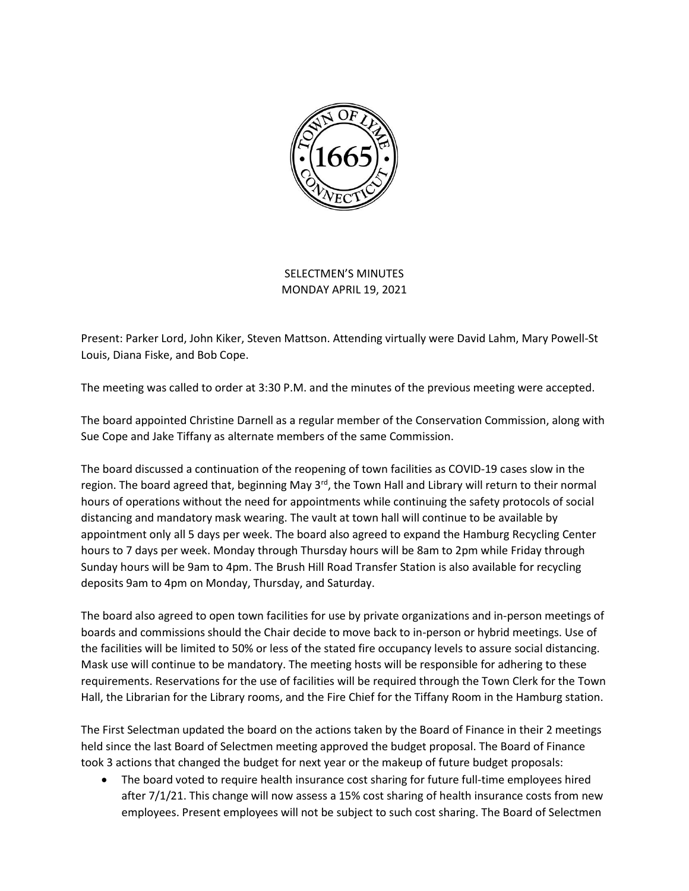

## SELECTMEN'S MINUTES MONDAY APRIL 19, 2021

Present: Parker Lord, John Kiker, Steven Mattson. Attending virtually were David Lahm, Mary Powell-St Louis, Diana Fiske, and Bob Cope.

The meeting was called to order at 3:30 P.M. and the minutes of the previous meeting were accepted.

The board appointed Christine Darnell as a regular member of the Conservation Commission, along with Sue Cope and Jake Tiffany as alternate members of the same Commission.

The board discussed a continuation of the reopening of town facilities as COVID-19 cases slow in the region. The board agreed that, beginning May  $3^{rd}$ , the Town Hall and Library will return to their normal hours of operations without the need for appointments while continuing the safety protocols of social distancing and mandatory mask wearing. The vault at town hall will continue to be available by appointment only all 5 days per week. The board also agreed to expand the Hamburg Recycling Center hours to 7 days per week. Monday through Thursday hours will be 8am to 2pm while Friday through Sunday hours will be 9am to 4pm. The Brush Hill Road Transfer Station is also available for recycling deposits 9am to 4pm on Monday, Thursday, and Saturday.

The board also agreed to open town facilities for use by private organizations and in-person meetings of boards and commissions should the Chair decide to move back to in-person or hybrid meetings. Use of the facilities will be limited to 50% or less of the stated fire occupancy levels to assure social distancing. Mask use will continue to be mandatory. The meeting hosts will be responsible for adhering to these requirements. Reservations for the use of facilities will be required through the Town Clerk for the Town Hall, the Librarian for the Library rooms, and the Fire Chief for the Tiffany Room in the Hamburg station.

The First Selectman updated the board on the actions taken by the Board of Finance in their 2 meetings held since the last Board of Selectmen meeting approved the budget proposal. The Board of Finance took 3 actions that changed the budget for next year or the makeup of future budget proposals:

• The board voted to require health insurance cost sharing for future full-time employees hired after 7/1/21. This change will now assess a 15% cost sharing of health insurance costs from new employees. Present employees will not be subject to such cost sharing. The Board of Selectmen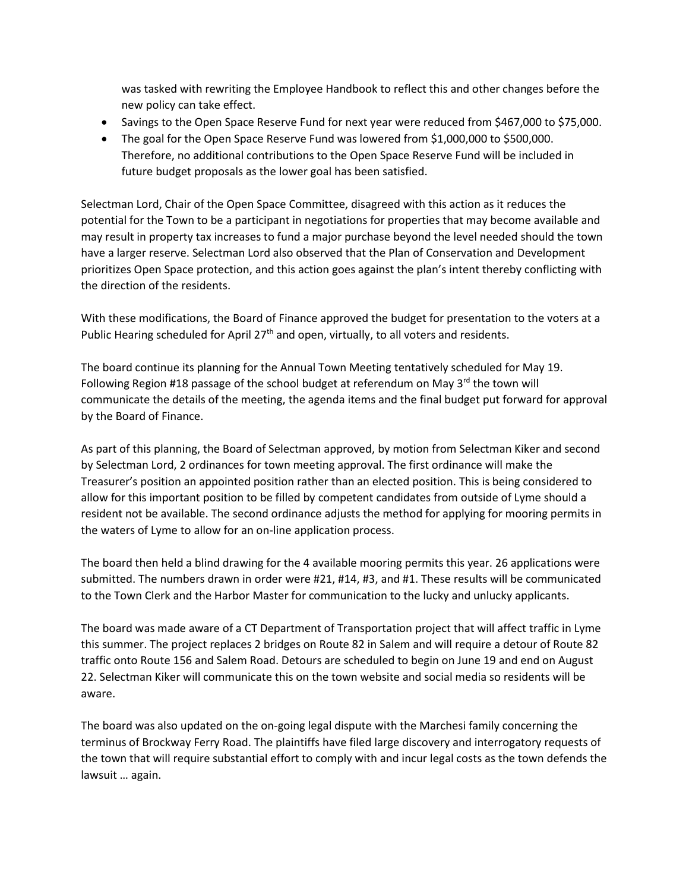was tasked with rewriting the Employee Handbook to reflect this and other changes before the new policy can take effect.

- Savings to the Open Space Reserve Fund for next year were reduced from \$467,000 to \$75,000.
- The goal for the Open Space Reserve Fund was lowered from \$1,000,000 to \$500,000. Therefore, no additional contributions to the Open Space Reserve Fund will be included in future budget proposals as the lower goal has been satisfied.

Selectman Lord, Chair of the Open Space Committee, disagreed with this action as it reduces the potential for the Town to be a participant in negotiations for properties that may become available and may result in property tax increases to fund a major purchase beyond the level needed should the town have a larger reserve. Selectman Lord also observed that the Plan of Conservation and Development prioritizes Open Space protection, and this action goes against the plan's intent thereby conflicting with the direction of the residents.

With these modifications, the Board of Finance approved the budget for presentation to the voters at a Public Hearing scheduled for April 27<sup>th</sup> and open, virtually, to all voters and residents.

The board continue its planning for the Annual Town Meeting tentatively scheduled for May 19. Following Region #18 passage of the school budget at referendum on May  $3<sup>rd</sup>$  the town will communicate the details of the meeting, the agenda items and the final budget put forward for approval by the Board of Finance.

As part of this planning, the Board of Selectman approved, by motion from Selectman Kiker and second by Selectman Lord, 2 ordinances for town meeting approval. The first ordinance will make the Treasurer's position an appointed position rather than an elected position. This is being considered to allow for this important position to be filled by competent candidates from outside of Lyme should a resident not be available. The second ordinance adjusts the method for applying for mooring permits in the waters of Lyme to allow for an on-line application process.

The board then held a blind drawing for the 4 available mooring permits this year. 26 applications were submitted. The numbers drawn in order were #21, #14, #3, and #1. These results will be communicated to the Town Clerk and the Harbor Master for communication to the lucky and unlucky applicants.

The board was made aware of a CT Department of Transportation project that will affect traffic in Lyme this summer. The project replaces 2 bridges on Route 82 in Salem and will require a detour of Route 82 traffic onto Route 156 and Salem Road. Detours are scheduled to begin on June 19 and end on August 22. Selectman Kiker will communicate this on the town website and social media so residents will be aware.

The board was also updated on the on-going legal dispute with the Marchesi family concerning the terminus of Brockway Ferry Road. The plaintiffs have filed large discovery and interrogatory requests of the town that will require substantial effort to comply with and incur legal costs as the town defends the lawsuit … again.